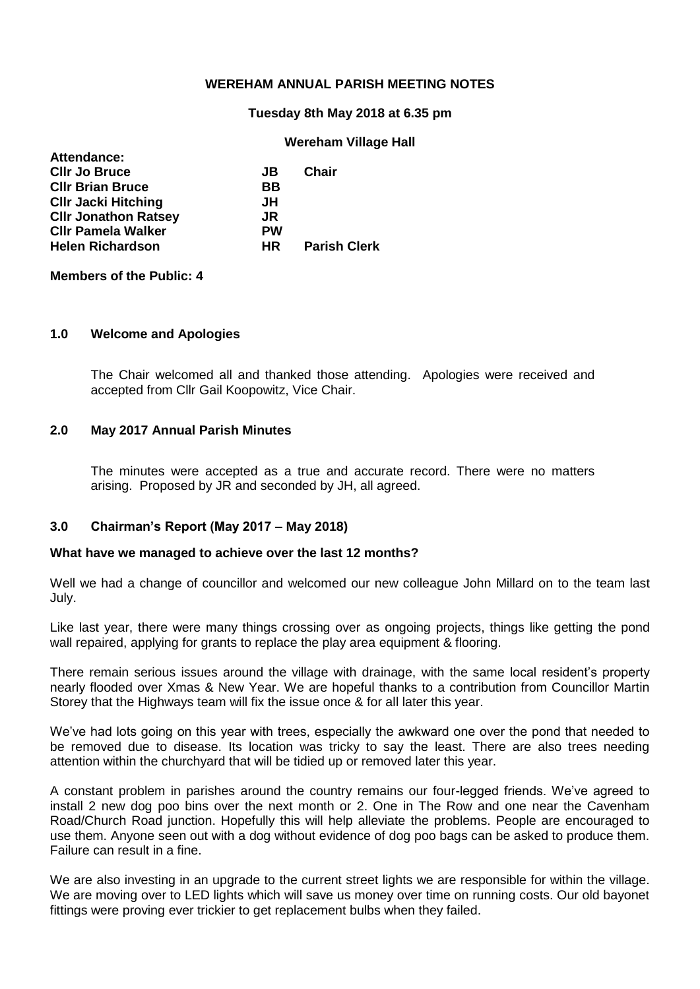## **WEREHAM ANNUAL PARISH MEETING NOTES**

#### **Tuesday 8th May 2018 at 6.35 pm**

## **Wereham Village Hall**

| Attendance:                 |           |                     |
|-----------------------------|-----------|---------------------|
| <b>CIIr Jo Bruce</b>        | JB.       | <b>Chair</b>        |
| <b>CIIr Brian Bruce</b>     | BB        |                     |
| <b>CIIr Jacki Hitching</b>  | JH        |                     |
| <b>CIIr Jonathon Ratsey</b> | JR.       |                     |
| <b>CIIr Pamela Walker</b>   | <b>PW</b> |                     |
| <b>Helen Richardson</b>     | HR.       | <b>Parish Clerk</b> |
|                             |           |                     |

**Members of the Public: 4**

**Attendance:**

## **1.0 Welcome and Apologies**

The Chair welcomed all and thanked those attending. Apologies were received and accepted from Cllr Gail Koopowitz, Vice Chair.

## **2.0 May 2017 Annual Parish Minutes**

The minutes were accepted as a true and accurate record. There were no matters arising. Proposed by JR and seconded by JH, all agreed.

## **3.0 Chairman's Report (May 2017 – May 2018)**

#### **What have we managed to achieve over the last 12 months?**

Well we had a change of councillor and welcomed our new colleague John Millard on to the team last July.

Like last year, there were many things crossing over as ongoing projects, things like getting the pond wall repaired, applying for grants to replace the play area equipment & flooring.

There remain serious issues around the village with drainage, with the same local resident's property nearly flooded over Xmas & New Year. We are hopeful thanks to a contribution from Councillor Martin Storey that the Highways team will fix the issue once & for all later this year.

We've had lots going on this year with trees, especially the awkward one over the pond that needed to be removed due to disease. Its location was tricky to say the least. There are also trees needing attention within the churchyard that will be tidied up or removed later this year.

A constant problem in parishes around the country remains our four-legged friends. We've agreed to install 2 new dog poo bins over the next month or 2. One in The Row and one near the Cavenham Road/Church Road junction. Hopefully this will help alleviate the problems. People are encouraged to use them. Anyone seen out with a dog without evidence of dog poo bags can be asked to produce them. Failure can result in a fine.

We are also investing in an upgrade to the current street lights we are responsible for within the village. We are moving over to LED lights which will save us money over time on running costs. Our old bayonet fittings were proving ever trickier to get replacement bulbs when they failed.